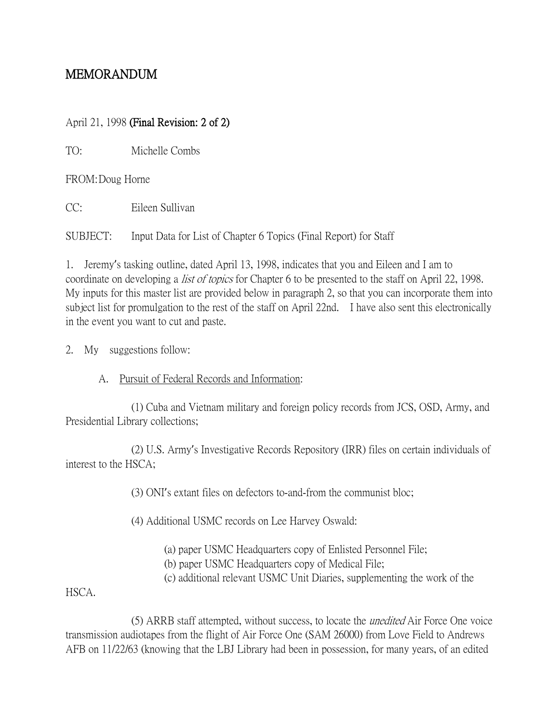# MEMORANDUM

### April 21, 1998 (Final Revision: 2 of 2)

TO: Michelle Combs

FROM:Doug Horne

CC: Eileen Sullivan

SUBJECT: Input Data for List of Chapter 6 Topics (Final Report) for Staff

1. Jeremy's tasking outline, dated April 13, 1998, indicates that you and Eileen and I am to coordinate on developing a *list of topics* for Chapter 6 to be presented to the staff on April 22, 1998. My inputs for this master list are provided below in paragraph 2, so that you can incorporate them into subject list for promulgation to the rest of the staff on April 22nd. I have also sent this electronically in the event you want to cut and paste.

2. My suggestions follow:

A. Pursuit of Federal Records and Information:

(1) Cuba and Vietnam military and foreign policy records from JCS, OSD, Army, and Presidential Library collections;

(2) U.S. Army's Investigative Records Repository (IRR) files on certain individuals of interest to the HSCA;

(3) ONI's extant files on defectors to-and-from the communist bloc;

(4) Additional USMC records on Lee Harvey Oswald:

(a) paper USMC Headquarters copy of Enlisted Personnel File;

(b) paper USMC Headquarters copy of Medical File;

(c) additional relevant USMC Unit Diaries, supplementing the work of the

HSCA.

(5) ARRB staff attempted, without success, to locate the unedited Air Force One voice transmission audiotapes from the flight of Air Force One (SAM 26000) from Love Field to Andrews AFB on 11/22/63 (knowing that the LBJ Library had been in possession, for many years, of an edited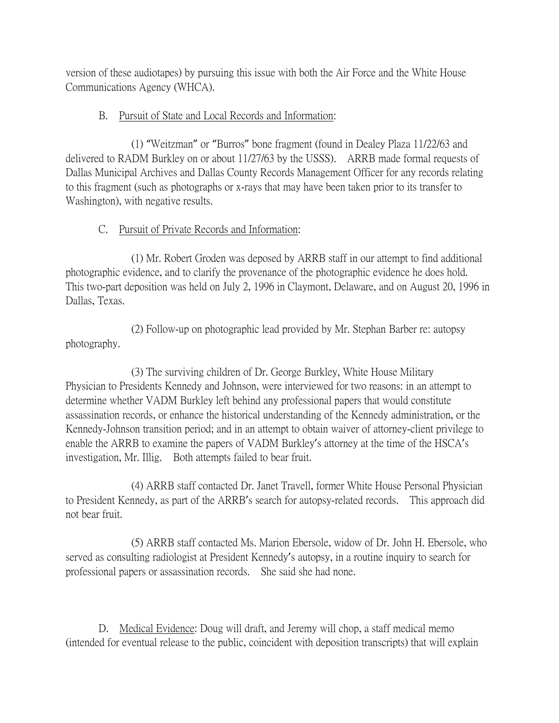version of these audiotapes) by pursuing this issue with both the Air Force and the White House Communications Agency (WHCA).

### B. Pursuit of State and Local Records and Information:

(1) "Weitzman" or "Burros" bone fragment (found in Dealey Plaza 11/22/63 and delivered to RADM Burkley on or about 11/27/63 by the USSS). ARRB made formal requests of Dallas Municipal Archives and Dallas County Records Management Officer for any records relating to this fragment (such as photographs or x-rays that may have been taken prior to its transfer to Washington), with negative results.

## C. Pursuit of Private Records and Information:

(1) Mr. Robert Groden was deposed by ARRB staff in our attempt to find additional photographic evidence, and to clarify the provenance of the photographic evidence he does hold. This two-part deposition was held on July 2, 1996 in Claymont, Delaware, and on August 20, 1996 in Dallas, Texas.

(2) Follow-up on photographic lead provided by Mr. Stephan Barber re: autopsy photography.

(3) The surviving children of Dr. George Burkley, White House Military Physician to Presidents Kennedy and Johnson, were interviewed for two reasons: in an attempt to determine whether VADM Burkley left behind any professional papers that would constitute assassination records, or enhance the historical understanding of the Kennedy administration, or the Kennedy-Johnson transition period; and in an attempt to obtain waiver of attorney-client privilege to enable the ARRB to examine the papers of VADM Burkley's attorney at the time of the HSCA's investigation, Mr. Illig. Both attempts failed to bear fruit.

(4) ARRB staff contacted Dr. Janet Travell, former White House Personal Physician to President Kennedy, as part of the ARRB's search for autopsy-related records. This approach did not bear fruit.

(5) ARRB staff contacted Ms. Marion Ebersole, widow of Dr. John H. Ebersole, who served as consulting radiologist at President Kennedy's autopsy, in a routine inquiry to search for professional papers or assassination records. She said she had none.

D. Medical Evidence: Doug will draft, and Jeremy will chop, a staff medical memo (intended for eventual release to the public, coincident with deposition transcripts) that will explain